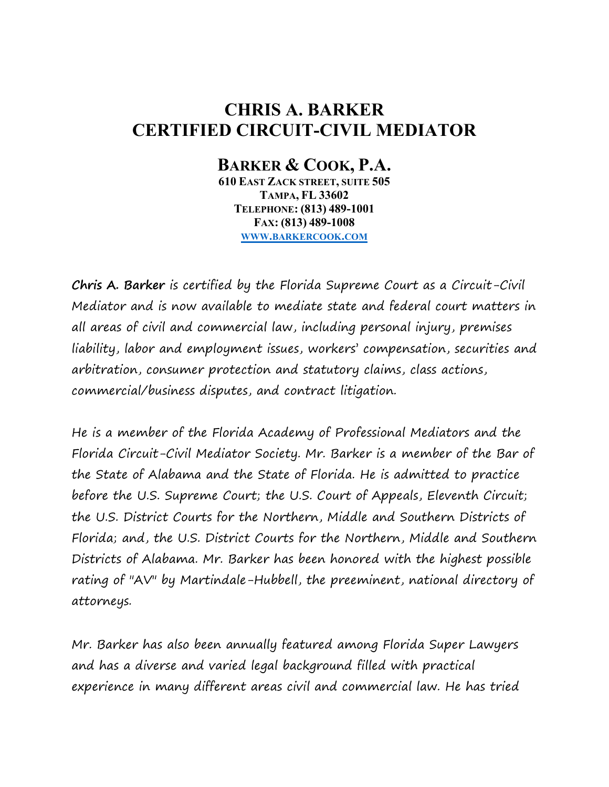## **CHRIS A. BARKER CERTIFIED CIRCUIT-CIVIL MEDIATOR**

## **BARKER & COOK, P.A.**

**610 EAST ZACK STREET, SUITE 505 TAMPA, FL 33602 TELEPHONE: (813) 489-1001 FAX: (813) 489-1008 WWW.[BARKERCOOK](http://www.barkercook.com/).COM**

**Chris A. Barker** is certified by the Florida Supreme Court as a Circuit-Civil Mediator and is now available to mediate state and federal court matters in all areas of civil and commercial law, including personal injury, premises liability, labor and employment issues, workers' compensation, securities and arbitration, consumer protection and statutory claims, class actions, commercial/business disputes, and contract litigation.

He is a member of the Florida Academy of Professional Mediators and the Florida Circuit-Civil Mediator Society. Mr. Barker is a member of the Bar of the State of Alabama and the State of Florida. He is admitted to practice before the U.S. Supreme Court; the U.S. Court of Appeals, Eleventh Circuit; the U.S. District Courts for the Northern, Middle and Southern Districts of Florida; and, the U.S. District Courts for the Northern, Middle and Southern Districts of Alabama. Mr. Barker has been honored with the highest possible rating of "AV" by Martindale-Hubbell, the preeminent, national directory of attorneys.

Mr. Barker has also been annually featured among Florida Super Lawyers and has a diverse and varied legal background filled with practical experience in many different areas civil and commercial law. He has tried